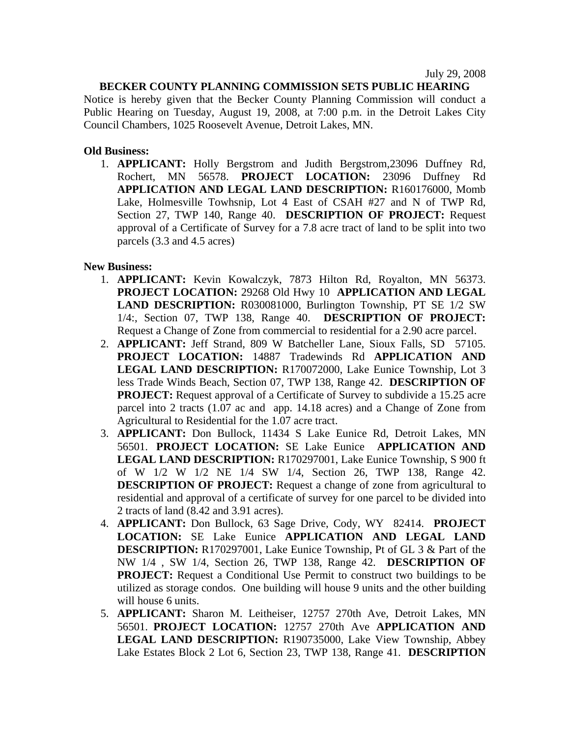July 29, 2008

## **BECKER COUNTY PLANNING COMMISSION SETS PUBLIC HEARING**

Notice is hereby given that the Becker County Planning Commission will conduct a Public Hearing on Tuesday, August 19, 2008, at 7:00 p.m. in the Detroit Lakes City Council Chambers, 1025 Roosevelt Avenue, Detroit Lakes, MN.

## **Old Business:**

1. **APPLICANT:** Holly Bergstrom and Judith Bergstrom,23096 Duffney Rd, Rochert, MN 56578. **PROJECT LOCATION:** 23096 Duffney Rd **APPLICATION AND LEGAL LAND DESCRIPTION:** R160176000, Momb Lake, Holmesville Towhsnip, Lot 4 East of CSAH #27 and N of TWP Rd, Section 27, TWP 140, Range 40. **DESCRIPTION OF PROJECT:** Request approval of a Certificate of Survey for a 7.8 acre tract of land to be split into two parcels (3.3 and 4.5 acres)

## **New Business:**

- 1. **APPLICANT:** Kevin Kowalczyk, 7873 Hilton Rd, Royalton, MN 56373. **PROJECT LOCATION:** 29268 Old Hwy 10 **APPLICATION AND LEGAL LAND DESCRIPTION:** R030081000, Burlington Township, PT SE 1/2 SW 1/4:, Section 07, TWP 138, Range 40. **DESCRIPTION OF PROJECT:** Request a Change of Zone from commercial to residential for a 2.90 acre parcel.
- 2. **APPLICANT:** Jeff Strand, 809 W Batcheller Lane, Sioux Falls, SD 57105. **PROJECT LOCATION:** 14887 Tradewinds Rd **APPLICATION AND LEGAL LAND DESCRIPTION:** R170072000, Lake Eunice Township, Lot 3 less Trade Winds Beach, Section 07, TWP 138, Range 42. **DESCRIPTION OF PROJECT:** Request approval of a Certificate of Survey to subdivide a 15.25 acre parcel into 2 tracts (1.07 ac and app. 14.18 acres) and a Change of Zone from Agricultural to Residential for the 1.07 acre tract.
- 3. **APPLICANT:** Don Bullock, 11434 S Lake Eunice Rd, Detroit Lakes, MN 56501. **PROJECT LOCATION:** SE Lake Eunice **APPLICATION AND LEGAL LAND DESCRIPTION:** R170297001, Lake Eunice Township, S 900 ft of W 1/2 W 1/2 NE 1/4 SW 1/4, Section 26, TWP 138, Range 42. **DESCRIPTION OF PROJECT:** Request a change of zone from agricultural to residential and approval of a certificate of survey for one parcel to be divided into 2 tracts of land (8.42 and 3.91 acres).
- 4. **APPLICANT:** Don Bullock, 63 Sage Drive, Cody, WY 82414. **PROJECT LOCATION:** SE Lake Eunice **APPLICATION AND LEGAL LAND DESCRIPTION:** R170297001, Lake Eunice Township, Pt of GL 3 & Part of the NW 1/4 , SW 1/4, Section 26, TWP 138, Range 42. **DESCRIPTION OF PROJECT:** Request a Conditional Use Permit to construct two buildings to be utilized as storage condos. One building will house 9 units and the other building will house 6 units.
- 5. **APPLICANT:** Sharon M. Leitheiser, 12757 270th Ave, Detroit Lakes, MN 56501. **PROJECT LOCATION:** 12757 270th Ave **APPLICATION AND LEGAL LAND DESCRIPTION:** R190735000, Lake View Township, Abbey Lake Estates Block 2 Lot 6, Section 23, TWP 138, Range 41. **DESCRIPTION**